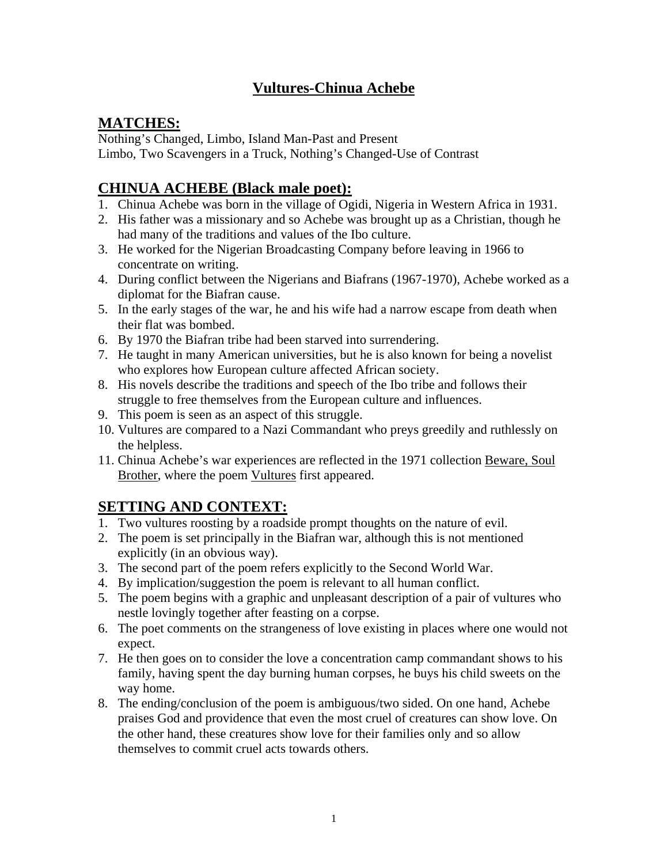### **Vultures-Chinua Achebe**

### **MATCHES:**

Nothing's Changed, Limbo, Island Man-Past and Present Limbo, Two Scavengers in a Truck, Nothing's Changed-Use of Contrast

### **CHINUA ACHEBE (Black male poet):**

- 1. Chinua Achebe was born in the village of Ogidi, Nigeria in Western Africa in 1931.
- 2. His father was a missionary and so Achebe was brought up as a Christian, though he had many of the traditions and values of the Ibo culture.
- 3. He worked for the Nigerian Broadcasting Company before leaving in 1966 to concentrate on writing.
- 4. During conflict between the Nigerians and Biafrans (1967-1970), Achebe worked as a diplomat for the Biafran cause.
- 5. In the early stages of the war, he and his wife had a narrow escape from death when their flat was bombed.
- 6. By 1970 the Biafran tribe had been starved into surrendering.
- 7. He taught in many American universities, but he is also known for being a novelist who explores how European culture affected African society.
- 8. His novels describe the traditions and speech of the Ibo tribe and follows their struggle to free themselves from the European culture and influences.
- 9. This poem is seen as an aspect of this struggle.
- 10. Vultures are compared to a Nazi Commandant who preys greedily and ruthlessly on the helpless.
- 11. Chinua Achebe's war experiences are reflected in the 1971 collection Beware, Soul Brother, where the poem Vultures first appeared.

# **SETTING AND CONTEXT:**

- 1. Two vultures roosting by a roadside prompt thoughts on the nature of evil.
- 2. The poem is set principally in the Biafran war, although this is not mentioned explicitly (in an obvious way).
- 3. The second part of the poem refers explicitly to the Second World War.
- 4. By implication/suggestion the poem is relevant to all human conflict.
- 5. The poem begins with a graphic and unpleasant description of a pair of vultures who nestle lovingly together after feasting on a corpse.
- 6. The poet comments on the strangeness of love existing in places where one would not expect.
- 7. He then goes on to consider the love a concentration camp commandant shows to his family, having spent the day burning human corpses, he buys his child sweets on the way home.
- 8. The ending/conclusion of the poem is ambiguous/two sided. On one hand, Achebe praises God and providence that even the most cruel of creatures can show love. On the other hand, these creatures show love for their families only and so allow themselves to commit cruel acts towards others.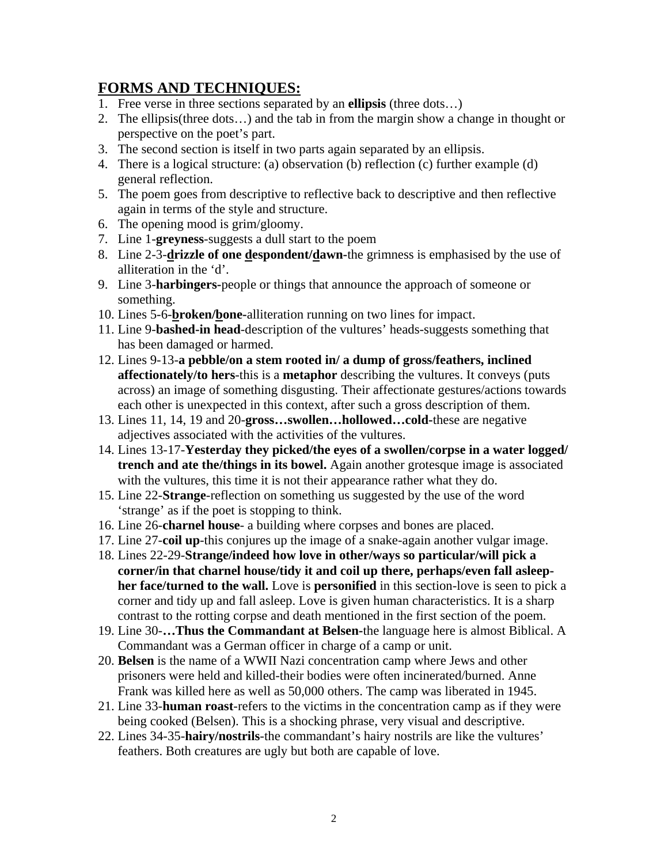#### **FORMS AND TECHNIQUES:**

- 1. Free verse in three sections separated by an **ellipsis** (three dots…)
- 2. The ellipsis(three dots…) and the tab in from the margin show a change in thought or perspective on the poet's part.
- 3. The second section is itself in two parts again separated by an ellipsis.
- 4. There is a logical structure: (a) observation (b) reflection (c) further example (d) general reflection.
- 5. The poem goes from descriptive to reflective back to descriptive and then reflective again in terms of the style and structure.
- 6. The opening mood is grim/gloomy.
- 7. Line 1-**greyness**-suggests a dull start to the poem
- 8. Line 2-3-**drizzle of one despondent/dawn-**the grimness is emphasised by the use of alliteration in the 'd'.
- 9. Line 3-**harbingers-**people or things that announce the approach of someone or something.
- 10. Lines 5-6-**broken/bone-**alliteration running on two lines for impact.
- 11. Line 9-**bashed-in head**-description of the vultures' heads-suggests something that has been damaged or harmed.
- 12. Lines 9-13-**a pebble/on a stem rooted in/ a dump of gross/feathers, inclined affectionately/to hers**-this is a **metaphor** describing the vultures. It conveys (puts across) an image of something disgusting. Their affectionate gestures/actions towards each other is unexpected in this context, after such a gross description of them.
- 13. Lines 11, 14, 19 and 20-**gross…swollen…hollowed…cold-**these are negative adjectives associated with the activities of the vultures.
- 14. Lines 13-17-**Yesterday they picked/the eyes of a swollen/corpse in a water logged/ trench and ate the/things in its bowel.** Again another grotesque image is associated with the vultures, this time it is not their appearance rather what they do.
- 15. Line 22-**Strange**-reflection on something us suggested by the use of the word 'strange' as if the poet is stopping to think.
- 16. Line 26-**charnel house** a building where corpses and bones are placed.
- 17. Line 27-**coil up**-this conjures up the image of a snake-again another vulgar image.
- 18. Lines 22-29-**Strange/indeed how love in other/ways so particular/will pick a corner/in that charnel house/tidy it and coil up there, perhaps/even fall asleepher face/turned to the wall.** Love is **personified** in this section-love is seen to pick a corner and tidy up and fall asleep. Love is given human characteristics. It is a sharp contrast to the rotting corpse and death mentioned in the first section of the poem.
- 19. Line 30-**…Thus the Commandant at Belsen-**the language here is almost Biblical. A Commandant was a German officer in charge of a camp or unit.
- 20. **Belsen** is the name of a WWII Nazi concentration camp where Jews and other prisoners were held and killed-their bodies were often incinerated/burned. Anne Frank was killed here as well as 50,000 others. The camp was liberated in 1945.
- 21. Line 33-**human roast**-refers to the victims in the concentration camp as if they were being cooked (Belsen). This is a shocking phrase, very visual and descriptive.
- 22. Lines 34-35-**hairy/nostrils**-the commandant's hairy nostrils are like the vultures' feathers. Both creatures are ugly but both are capable of love.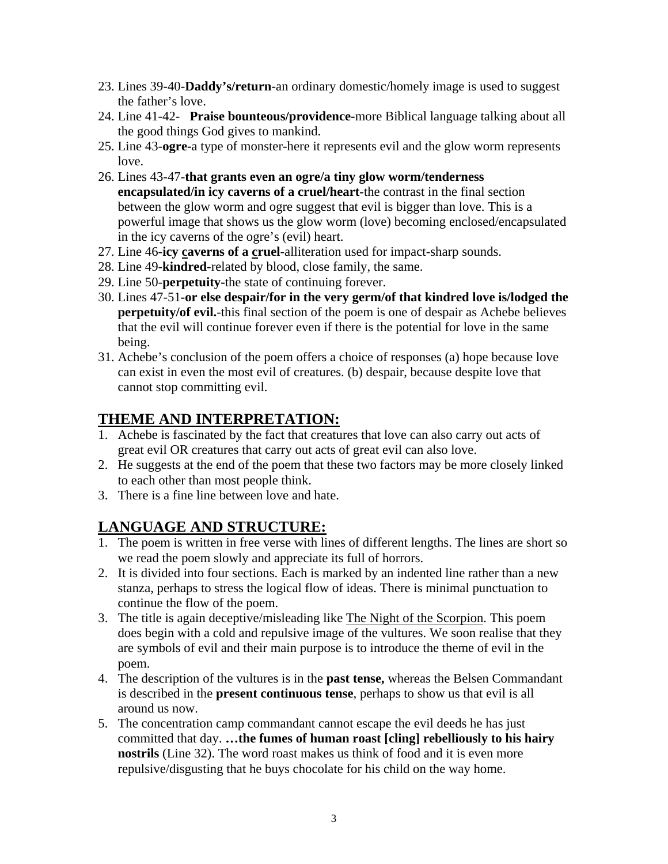- 23. Lines 39-40-**Daddy's/return**-an ordinary domestic/homely image is used to suggest the father's love.
- 24. Line 41-42- **Praise bounteous/providence-**more Biblical language talking about all the good things God gives to mankind.
- 25. Line 43-**ogre-**a type of monster-here it represents evil and the glow worm represents love.
- 26. Lines 43-47-**that grants even an ogre/a tiny glow worm/tenderness encapsulated/in icy caverns of a cruel/heart-**the contrast in the final section between the glow worm and ogre suggest that evil is bigger than love. This is a powerful image that shows us the glow worm (love) becoming enclosed/encapsulated in the icy caverns of the ogre's (evil) heart.
- 27. Line 46-**icy caverns of a cruel**-alliteration used for impact-sharp sounds.
- 28. Line 49-**kindred-**related by blood, close family, the same.
- 29. Line 50-**perpetuity-**the state of continuing forever.
- 30. Lines 47-51**-or else despair/for in the very germ/of that kindred love is/lodged the perpetuity/of evil.**-this final section of the poem is one of despair as Achebe believes that the evil will continue forever even if there is the potential for love in the same being.
- 31. Achebe's conclusion of the poem offers a choice of responses (a) hope because love can exist in even the most evil of creatures. (b) despair, because despite love that cannot stop committing evil.

## **THEME AND INTERPRETATION:**

- 1. Achebe is fascinated by the fact that creatures that love can also carry out acts of great evil OR creatures that carry out acts of great evil can also love.
- 2. He suggests at the end of the poem that these two factors may be more closely linked to each other than most people think.
- 3. There is a fine line between love and hate.

# **LANGUAGE AND STRUCTURE:**

- 1. The poem is written in free verse with lines of different lengths. The lines are short so we read the poem slowly and appreciate its full of horrors.
- 2. It is divided into four sections. Each is marked by an indented line rather than a new stanza, perhaps to stress the logical flow of ideas. There is minimal punctuation to continue the flow of the poem.
- 3. The title is again deceptive/misleading like The Night of the Scorpion. This poem does begin with a cold and repulsive image of the vultures. We soon realise that they are symbols of evil and their main purpose is to introduce the theme of evil in the poem.
- 4. The description of the vultures is in the **past tense,** whereas the Belsen Commandant is described in the **present continuous tense**, perhaps to show us that evil is all around us now.
- 5. The concentration camp commandant cannot escape the evil deeds he has just committed that day. **…the fumes of human roast [cling] rebelliously to his hairy nostrils** (Line 32). The word roast makes us think of food and it is even more repulsive/disgusting that he buys chocolate for his child on the way home.